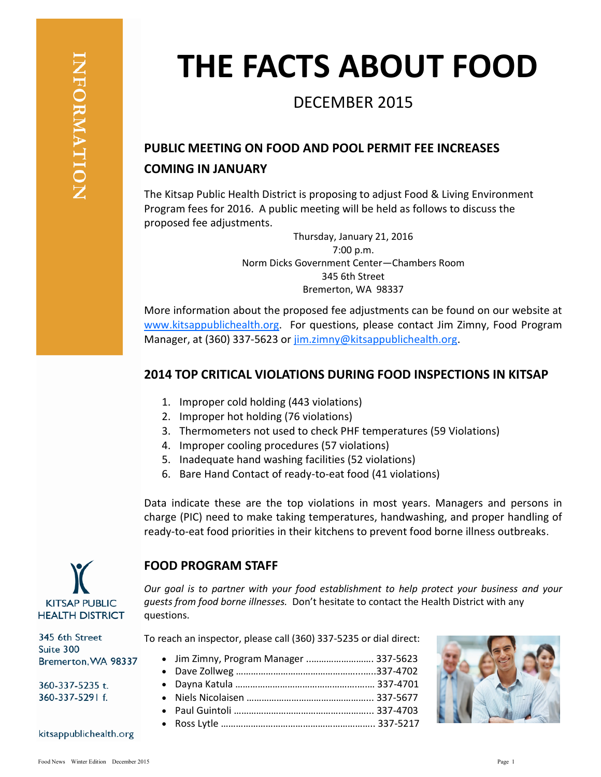# **THE FACTS ABOUT FOOD**

## DECEMBER 2015

### **PUBLIC MEETING ON FOOD AND POOL PERMIT FEE INCREASES COMING IN JANUARY**

The Kitsap Public Health District is proposing to adjust Food & Living Environment Program fees for 2016. A public meeting will be held as follows to discuss the proposed fee adjustments.

> Thursday, January 21, 2016 7:00 p.m. Norm Dicks Government Center—Chambers Room 345 6th Street Bremerton, WA 98337

More information about the proposed fee adjustments can be found on our website at [www.kitsappublichealth.org.](http://www.kitsappublichealth.org) For questions, please contact Jim Zimny, Food Program Manager, at (360) 337-5623 or [jim.zimny@kitsappublichealth.org.](mailto:jim.zimny@kitsappublichealth.org)

#### **2014 TOP CRITICAL VIOLATIONS DURING FOOD INSPECTIONS IN KITSAP**

- 1. Improper cold holding (443 violations)
- 2. Improper hot holding (76 violations)

**FOOD PROGRAM STAFF**

questions.

- 3. Thermometers not used to check PHF temperatures (59 Violations)
- 4. Improper cooling procedures (57 violations)
- 5. Inadequate hand washing facilities (52 violations)
- 6. Bare Hand Contact of ready-to-eat food (41 violations)

Data indicate these are the top violations in most years. Managers and persons in charge (PIC) need to make taking temperatures, handwashing, and proper handling of ready-to-eat food priorities in their kitchens to prevent food borne illness outbreaks.

*Our goal is to partner with your food establishment to help protect your business and your* 

*guests from food borne illnesses.* Don't hesitate to contact the Health District with any



345 6th Street Suite 300 Bremerton, WA 98337

360-337-5235 t. 360-337-5291 f.

kitsappublichealth.org

To reach an inspector, please call (360) 337-5235 or dial direct:

 Jim Zimny, Program Manager ..……………………. 337-5623 Dave Zollweg …………………………………………...…..337-4702 Dayna Katula ………………………………………….….… 337-4701 Niels Nicolaisen …………………………………………... 337-5677 Paul Guintoli ……………………………………..………... 337-4703 Ross Lytle …………………………………………………….. 337-5217

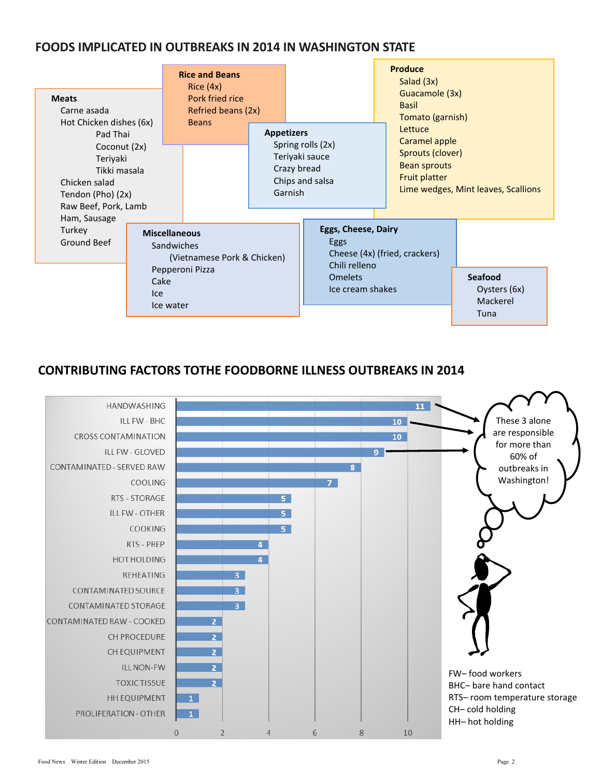#### **FOODS IMPLICATED IN OUTBREAKS IN 2014 IN WASHINGTON STATE**

| <b>Meats</b><br>Carne asada                                                                                                                                   |     | <b>Rice and Beans</b><br>Rice $(4x)$<br>Pork fried rice<br>Refried beans (2x)                             |                   |                                                                                           |                                                                                                                                                                                              | <b>Produce</b><br>Salad (3x)<br>Guacamole (3x)<br><b>Basil</b><br>Tomato (garnish) |                                                    |
|---------------------------------------------------------------------------------------------------------------------------------------------------------------|-----|-----------------------------------------------------------------------------------------------------------|-------------------|-------------------------------------------------------------------------------------------|----------------------------------------------------------------------------------------------------------------------------------------------------------------------------------------------|------------------------------------------------------------------------------------|----------------------------------------------------|
| Hot Chicken dishes (6x)<br>Pad Thai<br>Coconut (2x)<br>Teriyaki<br>Tikki masala<br>Chicken salad<br>Tendon (Pho) (2x)<br>Raw Beef, Pork, Lamb<br>Ham, Sausage |     | <b>Beans</b>                                                                                              | <b>Appetizers</b> | Crazy bread<br>Garnish                                                                    | Lettuce<br>Caramel apple<br>Spring rolls (2x)<br>Sprouts (clover)<br>Teriyaki sauce<br><b>Bean sprouts</b><br><b>Fruit platter</b><br>Chips and salsa<br>Lime wedges, Mint leaves, Scallions |                                                                                    |                                                    |
| Turkey<br>Ground Beef                                                                                                                                         | Ice | <b>Miscellaneous</b><br>Sandwiches<br>(Vietnamese Pork & Chicken)<br>Pepperoni Pizza<br>Cake<br>Ice water |                   | <b>Eggs, Cheese, Dairy</b><br>Eggs<br>Chili relleno<br><b>Omelets</b><br>Ice cream shakes |                                                                                                                                                                                              | Cheese (4x) (fried, crackers)                                                      | <b>Seafood</b><br>Oysters (6x)<br>Mackerel<br>Tuna |

#### **CONTRIBUTING FACTORS TOTHE FOODBORNE ILLNESS OUTBREAKS IN 2014**

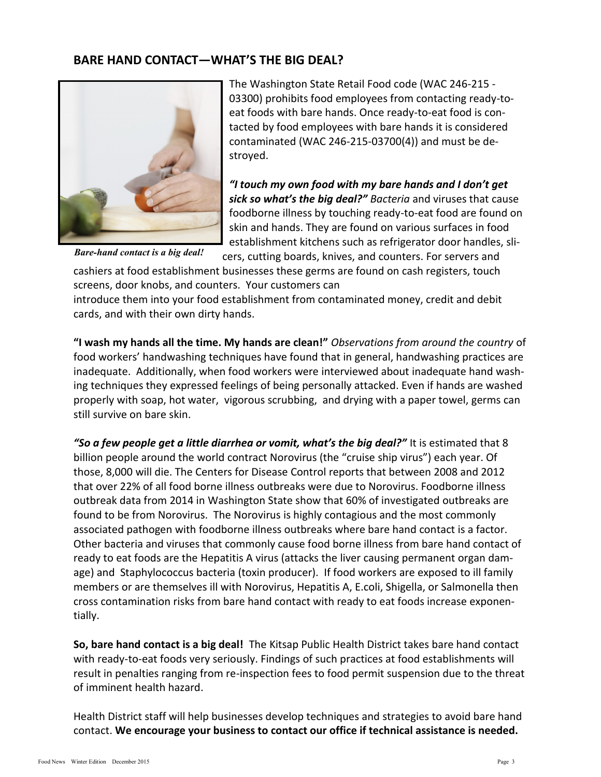#### **BARE HAND CONTACT—WHAT'S THE BIG DEAL?**



The Washington State Retail Food code (WAC 246-215 - 03300) prohibits food employees from contacting ready-toeat foods with bare hands. Once ready-to-eat food is contacted by food employees with bare hands it is considered contaminated (WAC 246-215-03700(4)) and must be destroyed.

*"I touch my own food with my bare hands and I don't get sick so what's the big deal?" Bacteria* and viruses that cause foodborne illness by touching ready-to-eat food are found on skin and hands. They are found on various surfaces in food establishment kitchens such as refrigerator door handles, sli-

*Bare-hand contact is a big deal!*

cers, cutting boards, knives, and counters. For servers and cashiers at food establishment businesses these germs are found on cash registers, touch

screens, door knobs, and counters. Your customers can

introduce them into your food establishment from contaminated money, credit and debit cards, and with their own dirty hands.

**"I wash my hands all the time. My hands are clean!"** *Observations from around the country* of food workers' handwashing techniques have found that in general, handwashing practices are inadequate. Additionally, when food workers were interviewed about inadequate hand washing techniques they expressed feelings of being personally attacked. Even if hands are washed properly with soap, hot water, vigorous scrubbing, and drying with a paper towel, germs can still survive on bare skin.

*"So a few people get a little diarrhea or vomit, what's the big deal?"* It is estimated that 8 billion people around the world contract Norovirus (the "cruise ship virus") each year. Of those, 8,000 will die. The Centers for Disease Control reports that between 2008 and 2012 that over 22% of all food borne illness outbreaks were due to Norovirus. Foodborne illness outbreak data from 2014 in Washington State show that 60% of investigated outbreaks are found to be from Norovirus. The Norovirus is highly contagious and the most commonly associated pathogen with foodborne illness outbreaks where bare hand contact is a factor. Other bacteria and viruses that commonly cause food borne illness from bare hand contact of ready to eat foods are the Hepatitis A virus (attacks the liver causing permanent organ damage) and Staphylococcus bacteria (toxin producer). If food workers are exposed to ill family members or are themselves ill with Norovirus, Hepatitis A, E.coli, Shigella, or Salmonella then cross contamination risks from bare hand contact with ready to eat foods increase exponentially.

**So, bare hand contact is a big deal!** The Kitsap Public Health District takes bare hand contact with ready-to-eat foods very seriously. Findings of such practices at food establishments will result in penalties ranging from re-inspection fees to food permit suspension due to the threat of imminent health hazard.

Health District staff will help businesses develop techniques and strategies to avoid bare hand contact. **We encourage your business to contact our office if technical assistance is needed.**